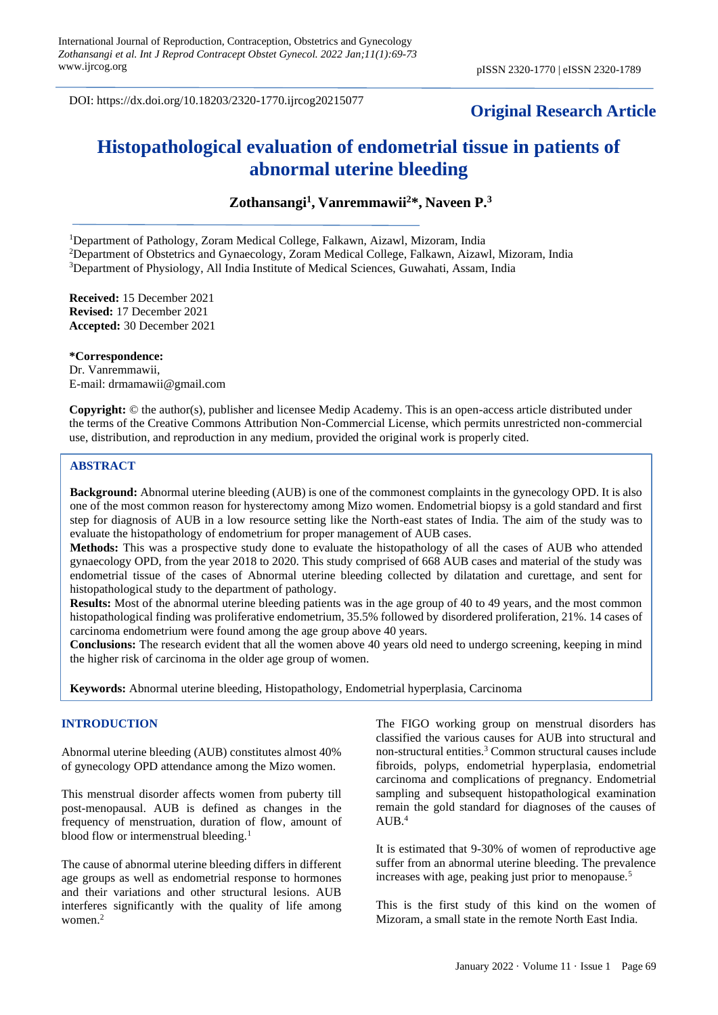DOI: https://dx.doi.org/10.18203/2320-1770.ijrcog20215077

# **Original Research Article**

# **Histopathological evaluation of endometrial tissue in patients of abnormal uterine bleeding**

**Zothansangi<sup>1</sup> , Vanremmawii<sup>2</sup>\*, Naveen P.<sup>3</sup>**

<sup>1</sup>Department of Pathology, Zoram Medical College, Falkawn, Aizawl, Mizoram, India <sup>2</sup>Department of Obstetrics and Gynaecology, Zoram Medical College, Falkawn, Aizawl, Mizoram, India <sup>3</sup>Department of Physiology, All India Institute of Medical Sciences, Guwahati, Assam, India

**Received:** 15 December 2021 **Revised:** 17 December 2021 **Accepted:** 30 December 2021

**\*Correspondence:** Dr. Vanremmawii, E-mail: drmamawii@gmail.com

**Copyright:** © the author(s), publisher and licensee Medip Academy. This is an open-access article distributed under the terms of the Creative Commons Attribution Non-Commercial License, which permits unrestricted non-commercial use, distribution, and reproduction in any medium, provided the original work is properly cited.

# **ABSTRACT**

**Background:** Abnormal uterine bleeding (AUB) is one of the commonest complaints in the gynecology OPD. It is also one of the most common reason for hysterectomy among Mizo women. Endometrial biopsy is a gold standard and first step for diagnosis of AUB in a low resource setting like the North-east states of India. The aim of the study was to evaluate the histopathology of endometrium for proper management of AUB cases.

**Methods:** This was a prospective study done to evaluate the histopathology of all the cases of AUB who attended gynaecology OPD, from the year 2018 to 2020. This study comprised of 668 AUB cases and material of the study was endometrial tissue of the cases of Abnormal uterine bleeding collected by dilatation and curettage, and sent for histopathological study to the department of pathology.

**Results:** Most of the abnormal uterine bleeding patients was in the age group of 40 to 49 years, and the most common histopathological finding was proliferative endometrium, 35.5% followed by disordered proliferation, 21%. 14 cases of carcinoma endometrium were found among the age group above 40 years.

**Conclusions:** The research evident that all the women above 40 years old need to undergo screening, keeping in mind the higher risk of carcinoma in the older age group of women.

**Keywords:** Abnormal uterine bleeding, Histopathology, Endometrial hyperplasia, Carcinoma

#### **INTRODUCTION**

Abnormal uterine bleeding (AUB) constitutes almost 40% of gynecology OPD attendance among the Mizo women.

This menstrual disorder affects women from puberty till post-menopausal. AUB is defined as changes in the frequency of menstruation, duration of flow, amount of blood flow or intermenstrual bleeding.<sup>1</sup>

The cause of abnormal uterine bleeding differs in different age groups as well as endometrial response to hormones and their variations and other structural lesions. AUB interferes significantly with the quality of life among women.<sup>2</sup>

The FIGO working group on menstrual disorders has classified the various causes for AUB into structural and non-structural entities.<sup>3</sup> Common structural causes include fibroids, polyps, endometrial hyperplasia, endometrial carcinoma and complications of pregnancy. Endometrial sampling and subsequent histopathological examination remain the gold standard for diagnoses of the causes of  $AUB.<sup>4</sup>$ 

It is estimated that 9-30% of women of reproductive age suffer from an abnormal uterine bleeding. The prevalence increases with age, peaking just prior to menopause.<sup>5</sup>

This is the first study of this kind on the women of Mizoram, a small state in the remote North East India.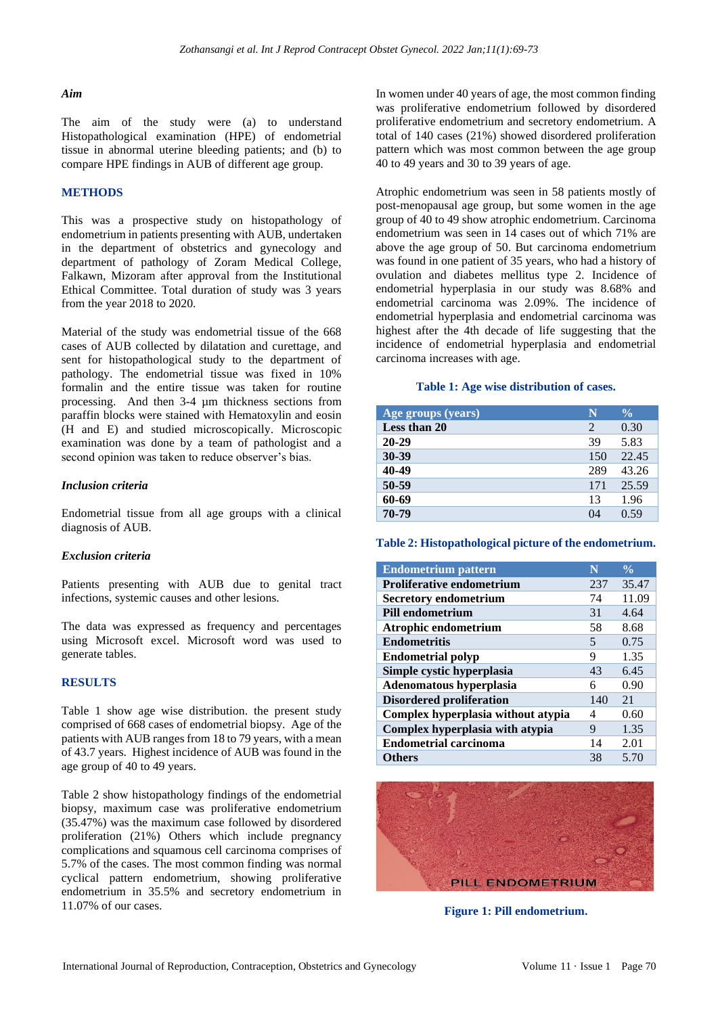#### *Aim*

The aim of the study were (a) to understand Histopathological examination (HPE) of endometrial tissue in abnormal uterine bleeding patients; and (b) to compare HPE findings in AUB of different age group.

#### **METHODS**

This was a prospective study on histopathology of endometrium in patients presenting with AUB, undertaken in the department of obstetrics and gynecology and department of pathology of Zoram Medical College, Falkawn, Mizoram after approval from the Institutional Ethical Committee. Total duration of study was 3 years from the year 2018 to 2020.

Material of the study was endometrial tissue of the 668 cases of AUB collected by dilatation and curettage, and sent for histopathological study to the department of pathology. The endometrial tissue was fixed in 10% formalin and the entire tissue was taken for routine processing. And then 3-4 µm thickness sections from paraffin blocks were stained with Hematoxylin and eosin (H and E) and studied microscopically. Microscopic examination was done by a team of pathologist and a second opinion was taken to reduce observer's bias.

#### *Inclusion criteria*

Endometrial tissue from all age groups with a clinical diagnosis of AUB.

#### *Exclusion criteria*

Patients presenting with AUB due to genital tract infections, systemic causes and other lesions.

The data was expressed as frequency and percentages using Microsoft excel. Microsoft word was used to generate tables.

#### **RESULTS**

Table 1 show age wise distribution. the present study comprised of 668 cases of endometrial biopsy. Age of the patients with AUB ranges from 18 to 79 years, with a mean of 43.7 years. Highest incidence of AUB was found in the age group of 40 to 49 years.

Table 2 show histopathology findings of the endometrial biopsy, maximum case was proliferative endometrium (35.47%) was the maximum case followed by disordered proliferation (21%) Others which include pregnancy complications and squamous cell carcinoma comprises of 5.7% of the cases. The most common finding was normal cyclical pattern endometrium, showing proliferative endometrium in 35.5% and secretory endometrium in 11.07% of our cases.

In women under 40 years of age, the most common finding was proliferative endometrium followed by disordered proliferative endometrium and secretory endometrium. A total of 140 cases (21%) showed disordered proliferation pattern which was most common between the age group 40 to 49 years and 30 to 39 years of age.

Atrophic endometrium was seen in 58 patients mostly of post-menopausal age group, but some women in the age group of 40 to 49 show atrophic endometrium. Carcinoma endometrium was seen in 14 cases out of which 71% are above the age group of 50. But carcinoma endometrium was found in one patient of 35 years, who had a history of ovulation and diabetes mellitus type 2. Incidence of endometrial hyperplasia in our study was 8.68% and endometrial carcinoma was 2.09%. The incidence of endometrial hyperplasia and endometrial carcinoma was highest after the 4th decade of life suggesting that the incidence of endometrial hyperplasia and endometrial carcinoma increases with age.

#### **Table 1: Age wise distribution of cases.**

| Age groups (years) | N   | $\frac{0}{0}$ |
|--------------------|-----|---------------|
| Less than 20       | 2   | 0.30          |
| $20 - 29$          | 39  | 5.83          |
| 30-39              | 150 | 22.45         |
| 40-49              | 289 | 43.26         |
| 50-59              | 171 | 25.59         |
| 60-69              | 13  | 1.96          |
| 70-79              | 04  | 0.59          |

**Table 2: Histopathological picture of the endometrium.**

| <b>Endometrium pattern</b>         | N                        | $\frac{0}{0}$ |
|------------------------------------|--------------------------|---------------|
| <b>Proliferative endometrium</b>   | 237                      | 35.47         |
| <b>Secretory endometrium</b>       | 74                       | 11.09         |
| <b>Pill endometrium</b>            | 31                       | 4.64          |
| Atrophic endometrium               | 58                       | 8.68          |
| <b>Endometritis</b>                | $\overline{\phantom{1}}$ | 0.75          |
| <b>Endometrial polyp</b>           | 9                        | 1.35          |
| Simple cystic hyperplasia          | 43                       | 6.45          |
| Adenomatous hyperplasia            | 6                        | 0.90          |
| <b>Disordered proliferation</b>    | 140                      | 21            |
| Complex hyperplasia without atypia | 4                        | 0.60          |
| Complex hyperplasia with atypia    | 9                        | 1.35          |
| <b>Endometrial carcinoma</b>       | 14                       | 2.01          |
| <b>Others</b>                      | 38                       | 5.70          |



**Figure 1: Pill endometrium.**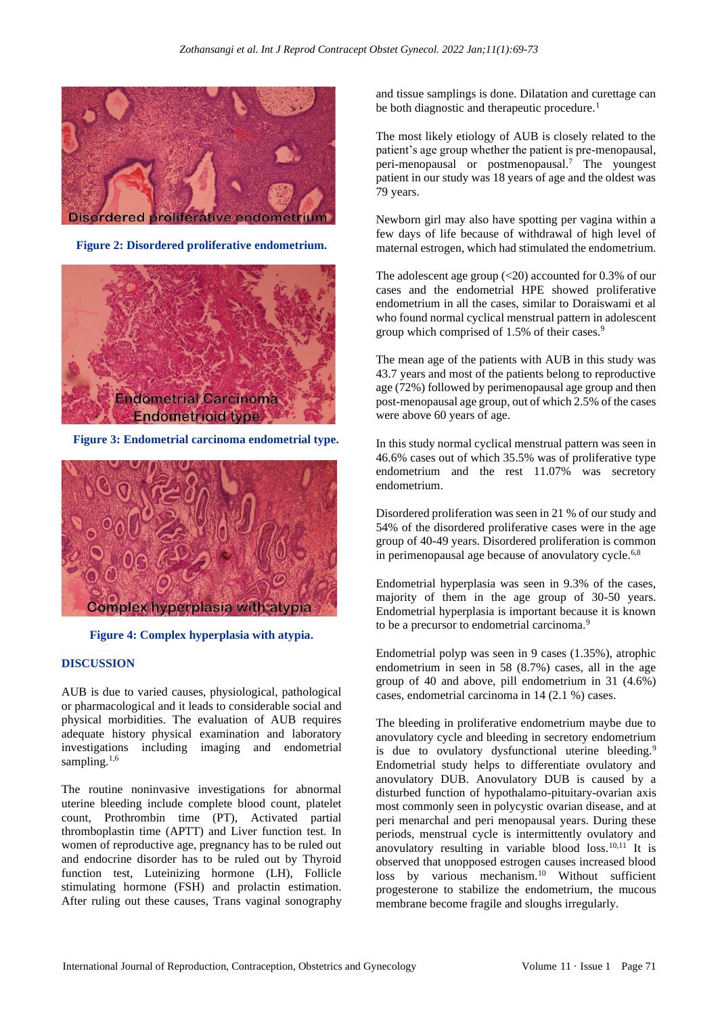

**Figure 2: Disordered proliferative endometrium.**



 **Figure 3: Endometrial carcinoma endometrial type.**



**Figure 4: Complex hyperplasia with atypia.**

## **DISCUSSION**

AUB is due to varied causes, physiological, pathological or pharmacological and it leads to considerable social and physical morbidities. The evaluation of AUB requires adequate history physical examination and laboratory investigations including imaging and endometrial sampling. $1,6$ 

The routine noninvasive investigations for abnormal uterine bleeding include complete blood count, platelet count, Prothrombin time (PT), Activated partial thromboplastin time (APTT) and Liver function test. In women of reproductive age, pregnancy has to be ruled out and endocrine disorder has to be ruled out by Thyroid function test, Luteinizing hormone (LH), Follicle stimulating hormone (FSH) and prolactin estimation. After ruling out these causes, Trans vaginal sonography and tissue samplings is done. Dilatation and curettage can be both diagnostic and therapeutic procedure.<sup>1</sup>

The most likely etiology of AUB is closely related to the patient's age group whether the patient is pre-menopausal, peri-menopausal or postmenopausal.<sup>7</sup> The youngest patient in our study was 18 years of age and the oldest was 79 years.

Newborn girl may also have spotting per vagina within a few days of life because of withdrawal of high level of maternal estrogen, which had stimulated the endometrium.

The adolescent age group (<20) accounted for 0.3% of our cases and the endometrial HPE showed proliferative endometrium in all the cases, similar to Doraiswami et al who found normal cyclical menstrual pattern in adolescent group which comprised of 1.5% of their cases.<sup>9</sup>

The mean age of the patients with AUB in this study was 43.7 years and most of the patients belong to reproductive age (72%) followed by perimenopausal age group and then post-menopausal age group, out of which 2.5% of the cases were above 60 years of age.

In this study normal cyclical menstrual pattern was seen in 46.6% cases out of which 35.5% was of proliferative type endometrium and the rest 11.07% was secretory endometrium.

Disordered proliferation was seen in 21 % of our study and 54% of the disordered proliferative cases were in the age group of 40-49 years. Disordered proliferation is common in perimenopausal age because of anovulatory cycle.<sup>6,8</sup>

Endometrial hyperplasia was seen in 9.3% of the cases, majority of them in the age group of 30-50 years. Endometrial hyperplasia is important because it is known to be a precursor to endometrial carcinoma.<sup>9</sup>

Endometrial polyp was seen in 9 cases (1.35%), atrophic endometrium in seen in 58 (8.7%) cases, all in the age group of 40 and above, pill endometrium in 31 (4.6%) cases, endometrial carcinoma in 14 (2.1 %) cases.

The bleeding in proliferative endometrium maybe due to anovulatory cycle and bleeding in secretory endometrium is due to ovulatory dysfunctional uterine bleeding.<sup>9</sup> Endometrial study helps to differentiate ovulatory and anovulatory DUB. Anovulatory DUB is caused by a disturbed function of hypothalamo-pituitary-ovarian axis most commonly seen in polycystic ovarian disease, and at peri menarchal and peri menopausal years. During these periods, menstrual cycle is intermittently ovulatory and anovulatory resulting in variable blood loss. $10,11$  It is observed that unopposed estrogen causes increased blood loss by various mechanism.<sup>10</sup> Without sufficient progesterone to stabilize the endometrium, the mucous membrane become fragile and sloughs irregularly.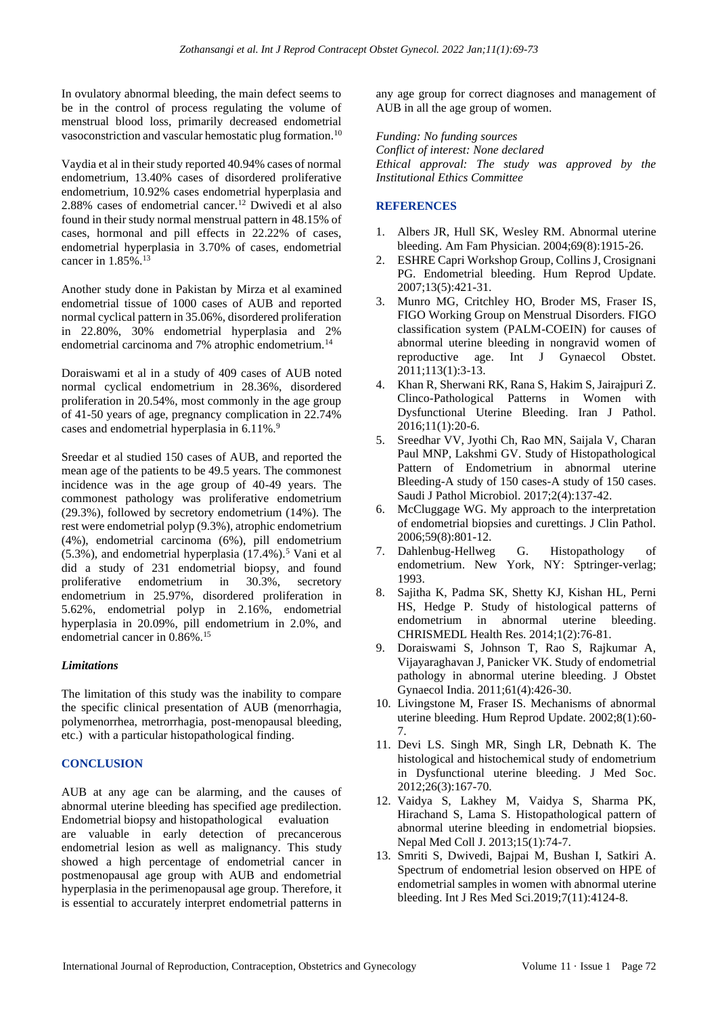In ovulatory abnormal bleeding, the main defect seems to be in the control of process regulating the volume of menstrual blood loss, primarily decreased endometrial vasoconstriction and vascular hemostatic plug formation.<sup>10</sup>

Vaydia et al in their study reported 40.94% cases of normal endometrium, 13.40% cases of disordered proliferative endometrium, 10.92% cases endometrial hyperplasia and 2.88% cases of endometrial cancer.<sup>12</sup> Dwivedi et al also found in their study normal menstrual pattern in 48.15% of cases, hormonal and pill effects in 22.22% of cases, endometrial hyperplasia in 3.70% of cases, endometrial cancer in  $1.85\%$ <sup>13</sup>

Another study done in Pakistan by Mirza et al examined endometrial tissue of 1000 cases of AUB and reported normal cyclical pattern in 35.06%, disordered proliferation in 22.80%, 30% endometrial hyperplasia and 2% endometrial carcinoma and 7% atrophic endometrium.<sup>14</sup>

Doraiswami et al in a study of 409 cases of AUB noted normal cyclical endometrium in 28.36%, disordered proliferation in 20.54%, most commonly in the age group of 41-50 years of age, pregnancy complication in 22.74% cases and endometrial hyperplasia in 6.11%.<sup>9</sup>

Sreedar et al studied 150 cases of AUB, and reported the mean age of the patients to be 49.5 years. The commonest incidence was in the age group of 40-49 years. The commonest pathology was proliferative endometrium (29.3%), followed by secretory endometrium (14%). The rest were endometrial polyp (9.3%), atrophic endometrium (4%), endometrial carcinoma (6%), pill endometrium  $(5.3\%)$ , and endometrial hyperplasia  $(17.4\%)$ .<sup>5</sup> Vani et al did a study of 231 endometrial biopsy, and found proliferative endometrium in 30.3%, secretory endometrium in 25.97%, disordered proliferation in 5.62%, endometrial polyp in 2.16%, endometrial hyperplasia in 20.09%, pill endometrium in 2.0%, and endometrial cancer in 0.86%.<sup>15</sup>

## *Limitations*

The limitation of this study was the inability to compare the specific clinical presentation of AUB (menorrhagia, polymenorrhea, metrorrhagia, post-menopausal bleeding, etc.) with a particular histopathological finding.

# **CONCLUSION**

AUB at any age can be alarming, and the causes of abnormal uterine bleeding has specified age predilection. Endometrial biopsy and histopathological evaluation are valuable in early detection of precancerous endometrial lesion as well as malignancy. This study showed a high percentage of endometrial cancer in postmenopausal age group with AUB and endometrial hyperplasia in the perimenopausal age group. Therefore, it is essential to accurately interpret endometrial patterns in any age group for correct diagnoses and management of AUB in all the age group of women.

*Funding: No funding sources*

*Conflict of interest: None declared Ethical approval: The study was approved by the Institutional Ethics Committee*

# **REFERENCES**

- 1. Albers JR, Hull SK, Wesley RM. Abnormal uterine bleeding. Am Fam Physician. 2004;69(8):1915-26.
- 2. ESHRE Capri Workshop Group, Collins J, Crosignani PG. Endometrial bleeding. Hum Reprod Update. 2007;13(5):421-31.
- 3. Munro MG, Critchley HO, Broder MS, Fraser IS, FIGO Working Group on Menstrual Disorders. FIGO classification system (PALM-COEIN) for causes of abnormal uterine bleeding in nongravid women of reproductive age. Int J Gynaecol Obstet. 2011;113(1):3-13.
- 4. Khan R, Sherwani RK, Rana S, Hakim S, Jairajpuri Z. Clinco-Pathological Patterns in Women with Dysfunctional Uterine Bleeding. Iran J Pathol. 2016;11(1):20-6.
- 5. Sreedhar VV, Jyothi Ch, Rao MN, Saijala V, Charan Paul MNP, Lakshmi GV. Study of Histopathological Pattern of Endometrium in abnormal uterine Bleeding-A study of 150 cases-A study of 150 cases. Saudi J Pathol Microbiol. 2017;2(4):137-42.
- 6. McCluggage WG. My approach to the interpretation of endometrial biopsies and curettings. J Clin Pathol. 2006;59(8):801-12.
- 7. Dahlenbug-Hellweg G. Histopathology of endometrium. New York, NY: Sptringer-verlag; 1993.
- 8. Sajitha K, Padma SK, Shetty KJ, Kishan HL, Perni HS, Hedge P. Study of histological patterns of endometrium in abnormal uterine bleeding. CHRISMEDL Health Res. 2014;1(2):76-81.
- 9. Doraiswami S, Johnson T, Rao S, Rajkumar A, Vijayaraghavan J, Panicker VK. Study of endometrial pathology in abnormal uterine bleeding. J Obstet Gynaecol India. 2011;61(4):426-30.
- 10. Livingstone M, Fraser IS. Mechanisms of abnormal uterine bleeding. Hum Reprod Update. 2002;8(1):60- 7.
- 11. Devi LS. Singh MR, Singh LR, Debnath K. The histological and histochemical study of endometrium in Dysfunctional uterine bleeding. J Med Soc. 2012;26(3):167-70.
- 12. Vaidya S, Lakhey M, Vaidya S, Sharma PK, Hirachand S, Lama S. Histopathological pattern of abnormal uterine bleeding in endometrial biopsies. Nepal Med Coll J. 2013;15(1):74-7.
- 13. Smriti S, Dwivedi, Bajpai M, Bushan I, Satkiri A. Spectrum of endometrial lesion observed on HPE of endometrial samples in women with abnormal uterine bleeding. Int J Res Med Sci.2019;7(11):4124-8.